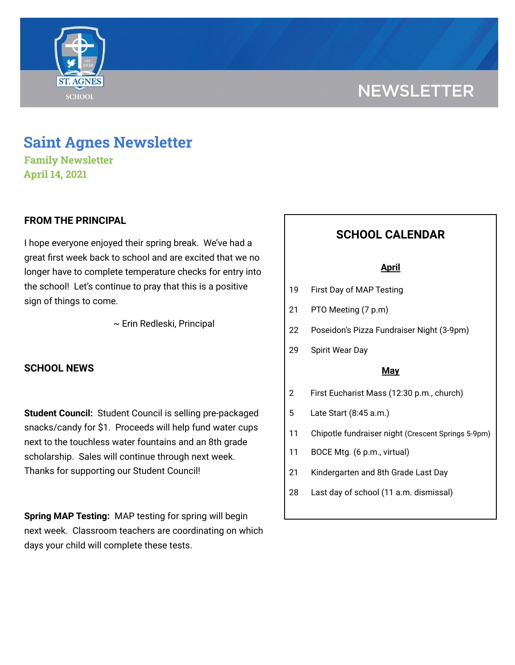

# **NEWSLETTER**

# **Saint Agnes Newsletter**

**Family Newsletter April 14, 2021**

### **FROM THE PRINCIPAL**

I hope everyone enjoyed their spring break. We've had a great first week back to school and are excited that we no longer have to complete temperature checks for entry into the school! Let's continue to pray that this is a positive sign of things to come.

~ Erin Redleski, Principal

### **SCHOOL NEWS**

**Student Council:** Student Council is selling pre-packaged snacks/candy for \$1. Proceeds will help fund water cups next to the touchless water fountains and an 8th grade scholarship. Sales will continue through next week. Thanks for supporting our Student Council!

**Spring MAP Testing:** MAP testing for spring will begin next week. Classroom teachers are coordinating on which days your child will complete these tests.

# **SCHOOL CALENDAR**

#### **April**

- 19 First Day of MAP Testing
- 21 PTO Meeting (7 p.m)
- 22 Poseidon's Pizza Fundraiser Night (3-9pm)
- 29 Spirit Wear Day

#### **May**

- 2 First Eucharist Mass (12:30 p.m., church)
- 5 Late Start (8:45 a.m.)
- 11 Chipotle fundraiser night (Crescent Springs 5-9pm)
- 11 BOCE Mtg. (6 p.m., virtual)
- 21 Kindergarten and 8th Grade Last Day
- 28 Last day of school (11 a.m. dismissal)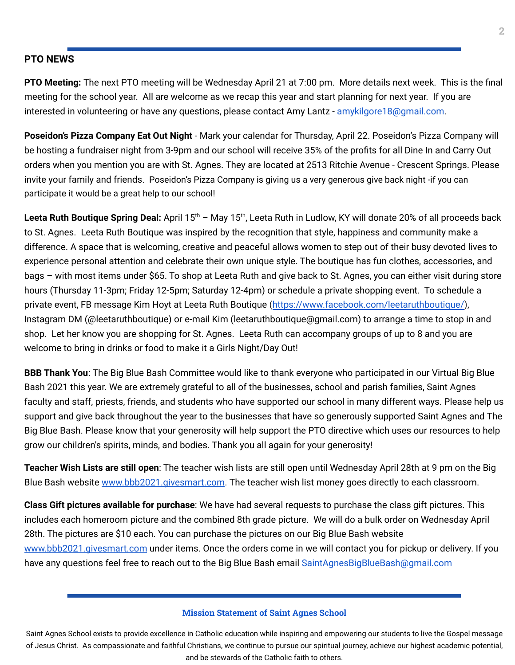#### **PTO NEWS**

**PTO Meeting:** The next PTO meeting will be Wednesday April 21 at 7:00 pm. More details next week. This is the final meeting for the school year. All are welcome as we recap this year and start planning for next year. If you are interested in volunteering or have any questions, please contact Amy Lantz - amykilgore18@gmail.com.

**Poseidon's Pizza Company Eat Out Night** - Mark your calendar for Thursday, April 22. Poseidon's Pizza Company will be hosting a fundraiser night from 3-9pm and our school will receive 35% of the profits for all Dine In and Carry Out orders when you mention you are with St. Agnes. They are located at 2513 Ritchie Avenue - Crescent Springs. Please invite your family and friends. Poseidon's Pizza Company is giving us a very generous give back night -if you can participate it would be a great help to our school!

Leeta Ruth Boutique Spring Deal: April 15<sup>th</sup> - May 15<sup>th</sup>, Leeta Ruth in Ludlow, KY will donate 20% of all proceeds back to St. Agnes. Leeta Ruth Boutique was inspired by the recognition that style, happiness and community make a difference. A space that is welcoming, creative and peaceful allows women to step out of their busy devoted lives to experience personal attention and celebrate their own unique style. The boutique has fun clothes, accessories, and bags – with most items under \$65. To shop at Leeta Ruth and give back to St. Agnes, you can either visit during store hours (Thursday 11-3pm; Friday 12-5pm; Saturday 12-4pm) or schedule a private shopping event. To schedule a private event, FB message Kim Hoyt at Leeta Ruth Boutique [\(https://www.facebook.com/leetaruthboutique/](https://www.facebook.com/leetaruthboutique/)), Instagram DM (@leetaruthboutique) or e-mail Kim (leetaruthboutique@gmail.com) to arrange a time to stop in and shop. Let her know you are shopping for St. Agnes. Leeta Ruth can accompany groups of up to 8 and you are welcome to bring in drinks or food to make it a Girls Night/Day Out!

**BBB Thank You**: The Big Blue Bash Committee would like to thank everyone who participated in our Virtual Big Blue Bash 2021 this year. We are extremely grateful to all of the businesses, school and parish families, Saint Agnes faculty and staff, priests, friends, and students who have supported our school in many different ways. Please help us support and give back throughout the year to the businesses that have so generously supported Saint Agnes and The Big Blue Bash. Please know that your generosity will help support the PTO directive which uses our resources to help grow our children's spirits, minds, and bodies. Thank you all again for your generosity!

**Teacher Wish Lists are still open**: The teacher wish lists are still open until Wednesday April 28th at 9 pm on the Big Blue Bash website [www.bbb2021.givesmart.com](http://www.bbb2021.givesmart.com/). The teacher wish list money goes directly to each classroom.

**Class Gift pictures available for purchase**: We have had several requests to purchase the class gift pictures. This includes each homeroom picture and the combined 8th grade picture. We will do a bulk order on Wednesday April 28th. The pictures are \$10 each. You can purchase the pictures on our Big Blue Bash website [www.bbb2021.givesmart.com](http://www.bbb2021.givesmart.com/) under items. Once the orders come in we will contact you for pickup or delivery. If you have any questions feel free to reach out to the Big Blue Bash email SaintAgnesBigBlueBash@gmail.com

#### **Mission Statement of Saint Agnes School**

Saint Agnes School exists to provide excellence in Catholic education while inspiring and empowering our students to live the Gospel message of Jesus Christ. As compassionate and faithful Christians, we continue to pursue our spiritual journey, achieve our highest academic potential, and be stewards of the Catholic faith to others.